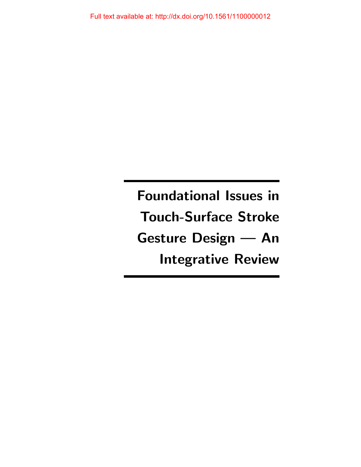Foundational Issues in Touch-Surface Stroke Gesture Design — An Integrative Review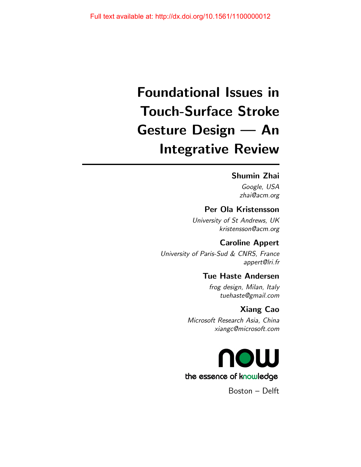# Foundational Issues in Touch-Surface Stroke Gesture Design — An Integrative Review

### Shumin Zhai

Google, USA zhai@acm.org

### Per Ola Kristensson

University of St Andrews, UK kristensson@acm.org

### Caroline Appert

University of Paris-Sud & CNRS, France appert@lri.fr

# Tue Haste Andersen

frog design, Milan, Italy tuehaste@gmail.com

### Xiang Cao

Microsoft Research Asia, China xiangc@microsoft.com



Boston – Delft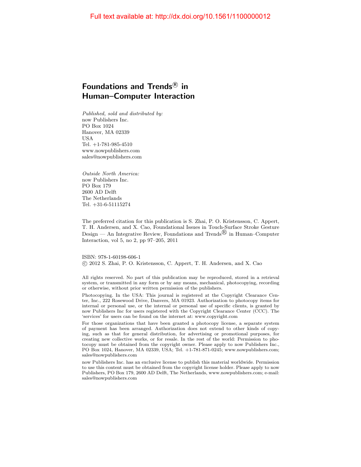# Foundations and Trends ${}^{\text{\textregistered}}$  in Human–Computer Interaction

Published, sold and distributed by: now Publishers Inc. PO Box 1024 Hanover, MA 02339 USA Tel. +1-781-985-4510 www.nowpublishers.com sales@nowpublishers.com

Outside North America: now Publishers Inc. PO Box 179 2600 AD Delft The Netherlands Tel. +31-6-51115274

The preferred citation for this publication is S. Zhai, P. O. Kristensson, C. Appert, T. H. Andersen, and X. Cao, Foundational Issues in Touch-Surface Stroke Gesture Design — An Integrative Review, Foundations and Trends<sup> $\textcircled{B}$ </sup> in Human–Computer Interaction, vol 5, no 2, pp 97–205, 2011

ISBN: 978-1-60198-606-1 c 2012 S. Zhai, P. O. Kristensson, C. Appert, T. H. Andersen, and X. Cao

All rights reserved. No part of this publication may be reproduced, stored in a retrieval system, or transmitted in any form or by any means, mechanical, photocopying, recording or otherwise, without prior written permission of the publishers.

Photocopying. In the USA: This journal is registered at the Copyright Clearance Center, Inc., 222 Rosewood Drive, Danvers, MA 01923. Authorization to photocopy items for internal or personal use, or the internal or personal use of specific clients, is granted by now Publishers Inc for users registered with the Copyright Clearance Center (CCC). The 'services' for users can be found on the internet at: www.copyright.com

For those organizations that have been granted a photocopy license, a separate system of payment has been arranged. Authorization does not extend to other kinds of copying, such as that for general distribution, for advertising or promotional purposes, for creating new collective works, or for resale. In the rest of the world: Permission to photocopy must be obtained from the copyright owner. Please apply to now Publishers Inc., PO Box 1024, Hanover, MA 02339, USA; Tel. +1-781-871-0245; www.nowpublishers.com; sales@nowpublishers.com

now Publishers Inc. has an exclusive license to publish this material worldwide. Permission to use this content must be obtained from the copyright license holder. Please apply to now Publishers, PO Box 179, 2600 AD Delft, The Netherlands, www.nowpublishers.com; e-mail: sales@nowpublishers.com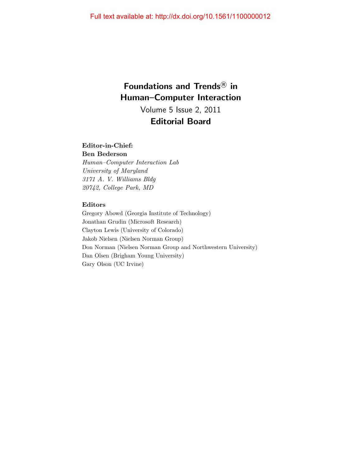# Foundations and Trends<sup>®</sup> in Human–Computer Interaction Volume 5 Issue 2, 2011

# Editorial Board

### Editor-in-Chief:

Ben Bederson Human–Computer Interaction Lab University of Maryland 3171 A. V. Williams Bldg 20742, College Park, MD

### Editors

Gregory Abowd (Georgia Institute of Technology) Jonathan Grudin (Microsoft Research) Clayton Lewis (University of Colorado) Jakob Nielsen (Nielsen Norman Group) Don Norman (Nielsen Norman Group and Northwestern University) Dan Olsen (Brigham Young University) Gary Olson (UC Irvine)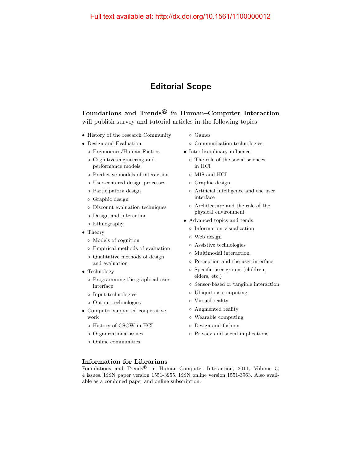# Editorial Scope

# Foundations and Trends $^{\circledR}$  in Human–Computer Interaction

will publish survey and tutorial articles in the following topics:

- History of the research Community
- Design and Evaluation
	- Ergonomics/Human Factors
	- Cognitive engineering and performance models
	- Predictive models of interaction
	- User-centered design processes
	- Participatory design
	- Graphic design
	- Discount evaluation techniques
	- Design and interaction
	- Ethnography
- Theory
	- Models of cognition
	- Empirical methods of evaluation
	- Qualitative methods of design and evaluation
- Technology
	- Programming the graphical user interface
	- Input technologies
	- Output technologies
- Computer supported cooperative work
	- History of CSCW in HCI
	- Organizational issues
	- Online communities
- Games
- Communication technologies
- Interdisciplinary influence
	- The role of the social sciences in HCI
	- MIS and HCI
	- Graphic design
	- Artificial intelligence and the user interface
	- Architecture and the role of the physical environment
- Advanced topics and tends
	- Information visualization
	- Web design
	- Assistive technologies
	- Multimodal interaction
	- Perception and the user interface
	- Specific user groups (children, elders, etc.)
	- Sensor-based or tangible interaction
	- Ubiquitous computing
	- Virtual reality
	- Augmented reality
	- Wearable computing
	- Design and fashion
	- Privacy and social implications

### Information for Librarians

Foundations and Trends<sup>®</sup> in Human–Computer Interaction, 2011, Volume 5, 4 issues. ISSN paper version 1551-3955. ISSN online version 1551-3963. Also available as a combined paper and online subscription.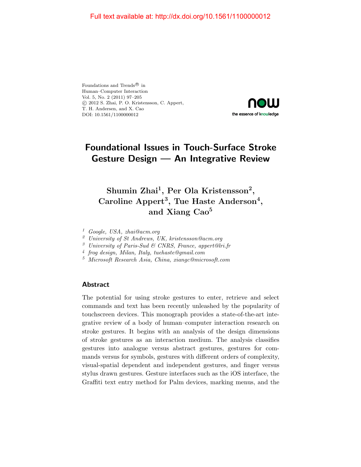Foundations and Trends<br> $^{\circledR}$  in Human–Computer Interaction Vol. 5, No. 2 (2011) 97–205 c 2012 S. Zhai, P. O. Kristensson, C. Appert, T. H. Andersen, and X. Cao DOI: 10.1561/1100000012



# Foundational Issues in Touch-Surface Stroke Gesture Design — An Integrative Review

# Shumin Zhai<sup>1</sup>, Per Ola Kristensson<sup>2</sup>, Caroline Appert<sup>3</sup>, Tue Haste Anderson<sup>4</sup>, and Xiang Cao<sup>5</sup>

<sup>1</sup> Google, USA, zhai@acm.org

<sup>2</sup> University of St Andrews, UK, kristensson@acm.org

<sup>3</sup> University of Paris-Sud & CNRS, France, appert@lri.fr

- 4 frog design, Milan, Italy, tuehaste@gmail.com
- <sup>5</sup> Microsoft Research Asia, China, xiangc@microsoft.com

### Abstract

The potential for using stroke gestures to enter, retrieve and select commands and text has been recently unleashed by the popularity of touchscreen devices. This monograph provides a state-of-the-art integrative review of a body of human–computer interaction research on stroke gestures. It begins with an analysis of the design dimensions of stroke gestures as an interaction medium. The analysis classifies gestures into analogue versus abstract gestures, gestures for commands versus for symbols, gestures with different orders of complexity, visual-spatial dependent and independent gestures, and finger versus stylus drawn gestures. Gesture interfaces such as the iOS interface, the Graffiti text entry method for Palm devices, marking menus, and the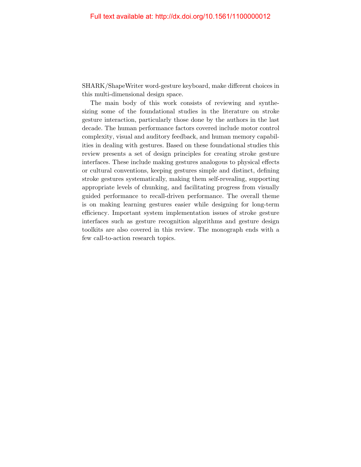SHARK/ShapeWriter word-gesture keyboard, make different choices in this multi-dimensional design space.

The main body of this work consists of reviewing and synthesizing some of the foundational studies in the literature on stroke gesture interaction, particularly those done by the authors in the last decade. The human performance factors covered include motor control complexity, visual and auditory feedback, and human memory capabilities in dealing with gestures. Based on these foundational studies this review presents a set of design principles for creating stroke gesture interfaces. These include making gestures analogous to physical effects or cultural conventions, keeping gestures simple and distinct, defining stroke gestures systematically, making them self-revealing, supporting appropriate levels of chunking, and facilitating progress from visually guided performance to recall-driven performance. The overall theme is on making learning gestures easier while designing for long-term efficiency. Important system implementation issues of stroke gesture interfaces such as gesture recognition algorithms and gesture design toolkits are also covered in this review. The monograph ends with a few call-to-action research topics.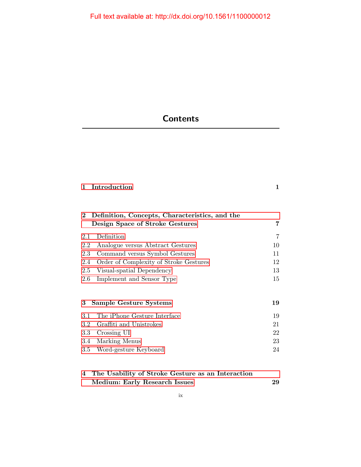# **Contents**

|  | 1 Introduction |  |  |
|--|----------------|--|--|
|--|----------------|--|--|

|         | 2 Definition, Concepts, Characteristics, and the<br>Design Space of Stroke Gestures |    |  |
|---------|-------------------------------------------------------------------------------------|----|--|
| 2.1     | Definition                                                                          | 7  |  |
| 2.2     | Analogue versus Abstract Gestures                                                   | 10 |  |
| 2.3     | Command versus Symbol Gestures                                                      | 11 |  |
| 2.4     | Order of Complexity of Stroke Gestures                                              | 12 |  |
| 2.5     | Visual-spatial Dependency                                                           | 13 |  |
| 2.6     | Implement and Sensor Type                                                           | 15 |  |
| 3       | Sample Gesture Systems                                                              | 19 |  |
| 3.1     | The iPhone Gesture Interface                                                        | 19 |  |
| 3.2     | Graffiti and Unistrokes                                                             | 21 |  |
| $3.3\,$ | Crossing UI                                                                         | 22 |  |
| 3.4     | Marking Menus                                                                       | 23 |  |
| $3.5\,$ | Word-gesture Keyboard                                                               | 24 |  |

| 4 The Usability of Stroke Gesture as an Interaction |    |
|-----------------------------------------------------|----|
| Medium: Early Research Issues                       | 29 |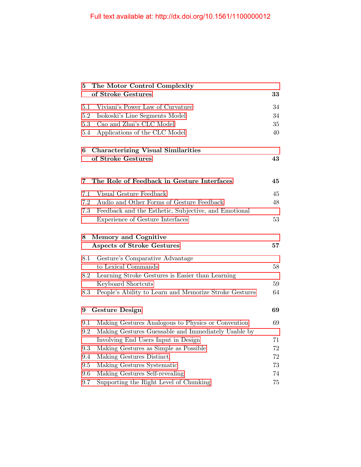| The Motor Control Complexity<br>5 |                                                        |    |
|-----------------------------------|--------------------------------------------------------|----|
|                                   | of Stroke Gestures                                     | 33 |
| $5.1\,$                           | Viviani's Power Law of Curvature                       | 34 |
| $5.2\,$                           | Isokoski's Line Segments Model                         | 34 |
| 5.3                               | Cao and Zhai's CLC Model                               | 35 |
| 5.4                               | Applications of the CLC Model                          | 40 |
| 6                                 | <b>Characterizing Visual Similarities</b>              |    |
|                                   | of Stroke Gestures                                     |    |
| 7                                 | The Role of Feedback in Gesture Interfaces             | 45 |
| 7.1                               | Visual Gesture Feedback                                | 45 |
| 7.2                               | Audio and Other Forms of Gesture Feedback              | 48 |
| 7.3                               | Feedback and the Esthetic, Subjective, and Emotional   |    |
|                                   | Experience of Gesture Interfaces                       | 53 |
| 8                                 | <b>Memory and Cognitive</b>                            |    |
|                                   | <b>Aspects of Stroke Gestures</b>                      | 57 |
| 8.1                               | Gesture's Comparative Advantage                        |    |
|                                   | to Lexical Commands                                    | 58 |
| 8.2                               | Learning Stroke Gestures is Easier than Learning       |    |
|                                   | Keyboard Shortcuts                                     | 59 |
| 8.3                               | People's Ability to Learn and Memorize Stroke Gestures | 64 |
| 9                                 | <b>Gesture Design</b>                                  | 69 |
| 9.1                               | Making Gestures Analogous to Physics or Convention     | 69 |
| 9.2                               | Making Gestures Guessable and Immediately Usable by    |    |
|                                   | Involving End Users Input in Design                    | 71 |
| 9.3                               | Making Gestures as Simple as Possible                  | 72 |
| 9.4                               | Making Gestures Distinct                               | 72 |
| 9.5                               | Making Gestures Systematic                             | 73 |
| 9.6                               | Making Gestures Self-revealing                         | 74 |
| 9.7                               | Supporting the Right Level of Chunking                 | 75 |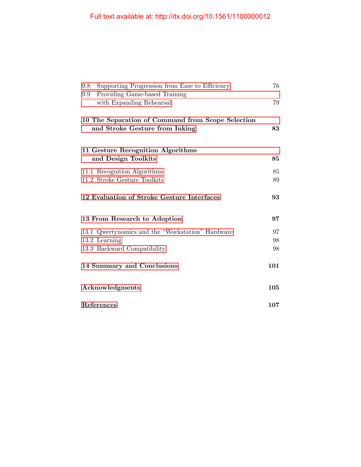| Supporting Progression from Ease to Efficiency<br>9.8<br>Providing Game-based Training<br>9.9 <sub>°</sub> | 76  |  |
|------------------------------------------------------------------------------------------------------------|-----|--|
| with Expanding Rehearsal                                                                                   | 79  |  |
| 10 The Separation of Command from Scope Selection                                                          |     |  |
| and Stroke Gesture from Inking                                                                             | 83  |  |
| 11 Gesture Recognition Algorithms                                                                          |     |  |
| and Design Toolkits                                                                                        | 85  |  |
| 11.1 Recognition Algorithms                                                                                | 85  |  |
| 11.2 Stroke Gesture Toolkits                                                                               | 89  |  |
| 12 Evaluation of Stroke Gesture Interfaces                                                                 | 93  |  |
| 13 From Research to Adoption                                                                               | 97  |  |
| 13.1 Qwertynomics and the "Workstation" Hardware                                                           | 97  |  |
| 13.2 Learning                                                                                              | 98  |  |
| 13.3 Backward Compatibility                                                                                | 98  |  |
| 14 Summary and Conclusions                                                                                 | 101 |  |
| Acknowledgments                                                                                            | 105 |  |
| References                                                                                                 | 107 |  |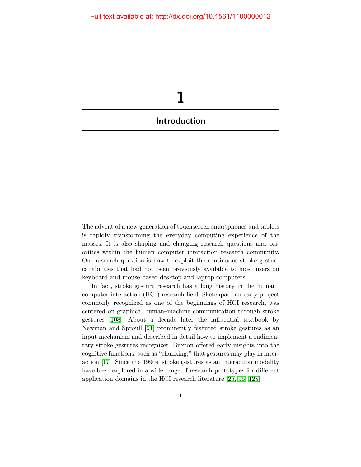<span id="page-10-0"></span>

The advent of a new generation of touchscreen smartphones and tablets is rapidly transforming the everyday computing experience of the masses. It is also shaping and changing research questions and priorities within the human–computer interaction research community. One research question is how to exploit the continuous stroke gesture capabilities that had not been previously available to most users on keyboard and mouse-based desktop and laptop computers.

In fact, stroke gesture research has a long history in the human– computer interaction (HCI) research field. Sketchpad, an early project commonly recognized as one of the beginnings of HCI research, was centered on graphical human–machine communication through stroke gestures [\[108\]](#page-22-0). About a decade later the influential textbook by Newman and Sproull [\[91\]](#page-21-0) prominently featured stroke gestures as an input mechanism and described in detail how to implement a rudimentary stroke gestures recognizer. Buxton offered early insights into the cognitive functions, such as "chunking," that gestures may play in interaction [\[17\]](#page-16-0). Since the 1990s, stroke gestures as an interaction modality have been explored in a wide range of research prototypes for different application domains in the HCI research literature [\[25,](#page-17-0) [95,](#page-21-1) [128\]](#page-23-0).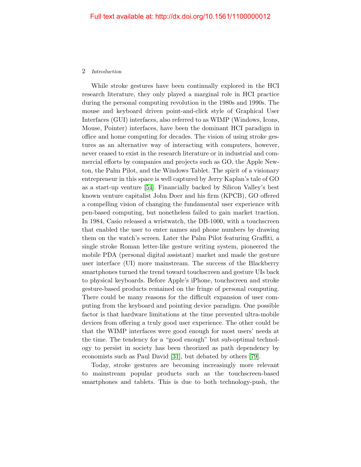### 2 Introduction

While stroke gestures have been continually explored in the HCI research literature, they only played a marginal role in HCI practice during the personal computing revolution in the 1980s and 1990s. The mouse and keyboard driven point-and-click style of Graphical User Interfaces (GUI) interfaces, also referred to as WIMP (Windows, Icons, Mouse, Pointer) interfaces, have been the dominant HCI paradigm in office and home computing for decades. The vision of using stroke gestures as an alternative way of interacting with computers, however, never ceased to exist in the research literature or in industrial and commercial efforts by companies and projects such as GO, the Apple Newton, the Palm Pilot, and the Windows Tablet. The spirit of a visionary entrepreneur in this space is well captured by Jerry Kaplan's tale of GO as a start-up venture [\[54\]](#page-18-0). Financially backed by Silicon Valley's best known venture capitalist John Doer and his firm (KPCB), GO offered a compelling vision of changing the fundamental user experience with pen-based computing, but nonetheless failed to gain market traction. In 1984, Casio released a wristwatch, the DB-1000, with a touchscreen that enabled the user to enter names and phone numbers by drawing them on the watch's screen. Later the Palm Pilot featuring Graffiti, a single stroke Roman letter-like gesture writing system, pioneered the mobile PDA (personal digital assistant) market and made the gesture user interface (UI) more mainstream. The success of the Blackberry smartphones turned the trend toward touchscreen and gesture UIs back to physical keyboards. Before Apple's iPhone, touchscreen and stroke gesture-based products remained on the fringe of personal computing. There could be many reasons for the difficult expansion of user computing from the keyboard and pointing device paradigm. One possible factor is that hardware limitations at the time prevented ultra-mobile devices from offering a truly good user experience. The other could be that the WIMP interfaces were good enough for most users' needs at the time. The tendency for a "good enough" but sub-optimal technology to persist in society has been theorized as path dependency by economists such as Paul David [\[31\]](#page-17-1), but debated by others [\[79\]](#page-20-0).

Today, stroke gestures are becoming increasingly more relevant to mainstream popular products such as the touchscreen-based smartphones and tablets. This is due to both technology-push, the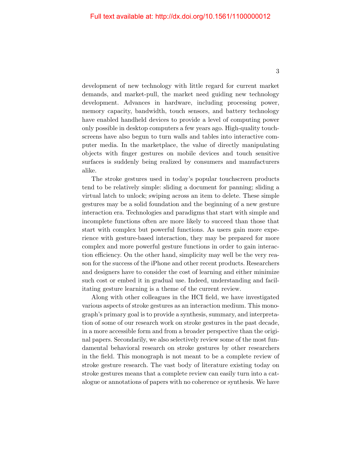development of new technology with little regard for current market demands, and market-pull, the market need guiding new technology development. Advances in hardware, including processing power, memory capacity, bandwidth, touch sensors, and battery technology have enabled handheld devices to provide a level of computing power only possible in desktop computers a few years ago. High-quality touchscreens have also begun to turn walls and tables into interactive computer media. In the marketplace, the value of directly manipulating objects with finger gestures on mobile devices and touch sensitive surfaces is suddenly being realized by consumers and manufacturers alike.

The stroke gestures used in today's popular touchscreen products tend to be relatively simple: sliding a document for panning; sliding a virtual latch to unlock; swiping across an item to delete. These simple gestures may be a solid foundation and the beginning of a new gesture interaction era. Technologies and paradigms that start with simple and incomplete functions often are more likely to succeed than those that start with complex but powerful functions. As users gain more experience with gesture-based interaction, they may be prepared for more complex and more powerful gesture functions in order to gain interaction efficiency. On the other hand, simplicity may well be the very reason for the success of the iPhone and other recent products. Researchers and designers have to consider the cost of learning and either minimize such cost or embed it in gradual use. Indeed, understanding and facilitating gesture learning is a theme of the current review.

Along with other colleagues in the HCI field, we have investigated various aspects of stroke gestures as an interaction medium. This monograph's primary goal is to provide a synthesis, summary, and interpretation of some of our research work on stroke gestures in the past decade, in a more accessible form and from a broader perspective than the original papers. Secondarily, we also selectively review some of the most fundamental behavioral research on stroke gestures by other researchers in the field. This monograph is not meant to be a complete review of stroke gesture research. The vast body of literature existing today on stroke gestures means that a complete review can easily turn into a catalogue or annotations of papers with no coherence or synthesis. We have

3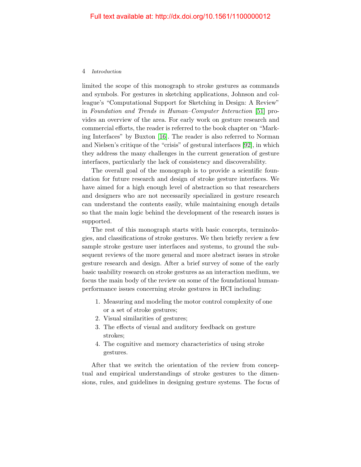#### 4 Introduction

limited the scope of this monograph to stroke gestures as commands and symbols. For gestures in sketching applications, Johnson and colleague's "Computational Support for Sketching in Design: A Review" in Foundation and Trends in Human–Computer Interaction [\[51\]](#page-18-1) provides an overview of the area. For early work on gesture research and commercial efforts, the reader is referred to the book chapter on "Marking Interfaces" by Buxton [\[16\]](#page-16-1). The reader is also referred to Norman and Nielsen's critique of the "crisis" of gestural interfaces [\[92\]](#page-21-2), in which they address the many challenges in the current generation of gesture interfaces, particularly the lack of consistency and discoverability.

The overall goal of the monograph is to provide a scientific foundation for future research and design of stroke gesture interfaces. We have aimed for a high enough level of abstraction so that researchers and designers who are not necessarily specialized in gesture research can understand the contents easily, while maintaining enough details so that the main logic behind the development of the research issues is supported.

The rest of this monograph starts with basic concepts, terminologies, and classifications of stroke gestures. We then briefly review a few sample stroke gesture user interfaces and systems, to ground the subsequent reviews of the more general and more abstract issues in stroke gesture research and design. After a brief survey of some of the early basic usability research on stroke gestures as an interaction medium, we focus the main body of the review on some of the foundational humanperformance issues concerning stroke gestures in HCI including:

- 1. Measuring and modeling the motor control complexity of one or a set of stroke gestures;
- 2. Visual similarities of gestures;
- 3. The effects of visual and auditory feedback on gesture strokes;
- 4. The cognitive and memory characteristics of using stroke gestures.

After that we switch the orientation of the review from conceptual and empirical understandings of stroke gestures to the dimensions, rules, and guidelines in designing gesture systems. The focus of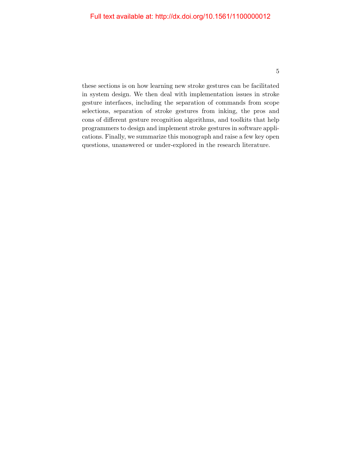these sections is on how learning new stroke gestures can be facilitated in system design. We then deal with implementation issues in stroke gesture interfaces, including the separation of commands from scope selections, separation of stroke gestures from inking, the pros and cons of different gesture recognition algorithms, and toolkits that help programmers to design and implement stroke gestures in software applications. Finally, we summarize this monograph and raise a few key open questions, unanswered or under-explored in the research literature.

5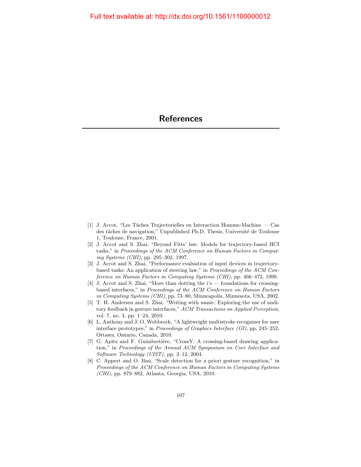- <span id="page-15-0"></span>[1] J. Accot, "Les Tˆaches Trajectorielles en Interaction Homme-Machine — Cas des tâches de navigation," Unpublished Ph.D. Thesis, Université de Toulouse 1, Toulouse, France, 2001.
- [2] J. Accot and S. Zhai, "Beyond Fitts' law: Models for trajectory-based HCI tasks," in Proceedings of the ACM Conference on Human Factors in Computing Systems (CHI), pp. 295–302, 1997.
- [3] J. Accot and S. Zhai, "Performance evaluation of input devices in trajectorybased tasks: An application of steering law," in Proceedings of the ACM Conference on Human Factors in Computing Systems (CHI), pp. 466–472, 1999.
- [4] J. Accot and S. Zhai, "More than dotting the i's foundations for crossingbased interfaces," in Proceedings of the ACM Conference on Human Factors in Computing Systems (CHI), pp. 73–80, Minneapolis, Minnesota, USA, 2002.
- [5] T. H. Andersen and S. Zhai, "Writing with music: Exploring the use of auditory feedback in gesture interfaces," ACM Transactions on Applied Perception, vol. 7, no. 3, pp. 1–24, 2010.
- [6] L. Anthony and J. O. Wobbrock, "A lightweight multistroke recognizer for user interface prototypes," in Proceedings of Graphics Interface (GI), pp. 245–252, Ottawa, Ontario, Canada, 2010.
- [7] G. Apitz and F. Guimbretière, "CrossY: A crossing-based drawing application," in Proceedings of the Annual ACM Symposium on User Interface and Software Technology (UIST), pp. 3–12, 2004.
- [8] C. Appert and O. Bau, "Scale detection for a priori gesture recognition," in Proceedings of the ACM Conference on Human Factors in Computing Systems (CHI), pp. 879–882, Atlanta, Georgia, USA, 2010.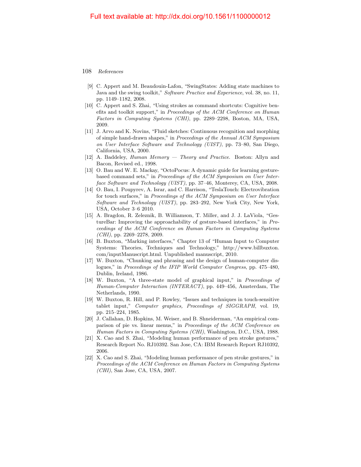- [9] C. Appert and M. Beaudouin-Lafon, "SwingStates: Adding state machines to Java and the swing toolkit," Software Practice and Experience, vol. 38, no. 11, pp. 1149–1182, 2008.
- [10] C. Appert and S. Zhai, "Using strokes as command shortcuts: Cognitive benefits and toolkit support," in Proceedings of the ACM Conference on Human Factors in Computing Systems (CHI), pp. 2289–2298, Boston, MA, USA, 2009.
- [11] J. Arvo and K. Novins, "Fluid sketches: Continuous recognition and morphing of simple hand-drawn shapes," in Proceedings of the Annual ACM Symposium on User Interface Software and Technology (UIST), pp. 73–80, San Diego, California, USA, 2000.
- [12] A. Baddeley, Human Memory Theory and Practice. Boston: Allyn and Bacon, Revised ed., 1998.
- [13] O. Bau and W. E. Mackay, "OctoPocus: A dynamic guide for learning gesturebased command sets," in Proceedings of the ACM Symposium on User Interface Software and Technology (UIST), pp. 37–46, Monterey, CA, USA, 2008.
- [14] O. Bau, I. Poupyrev, A. Israr, and C. Harrison, "TeslaTouch: Electrovibration for touch surfaces," in Proceedings of the ACM Symposium on User Interface Software and Technology (UIST), pp. 283–292, New York City, New York, USA, October 3–6 2010.
- [15] A. Bragdon, R. Zeleznik, B. Williamson, T. Miller, and J. J. LaViola, "GestureBar: Improving the approachability of gesture-based interfaces," in Proceedings of the ACM Conference on Human Factors in Computing Systems  $(CHI)$ , pp. 2269–2278, 2009.
- <span id="page-16-1"></span>[16] B. Buxton, "Marking interfaces," Chapter 13 of "Human Input to Computer Systems: Theories, Techniques and Technology," http://www.billbuxton. com/inputManuscript.html. Unpublished manuscript, 2010.
- <span id="page-16-0"></span>[17] W. Buxton, "Chunking and phrasing and the design of human-computer dislogues," in Proceedings of the IFIP World Computer Congress, pp. 475–480, Dublin, Ireland, 1986.
- [18] W. Buxton, "A three-state model of graphical input," in Proceedings of Human-Computer Interaction (INTERACT), pp. 449–456, Amsterdam, The Netherlands, 1990.
- [19] W. Buxton, R. Hill, and P. Rowley, "Issues and techniques in touch-sensitive tablet input," Computer graphics, Proceedings of SIGGRAPH, vol. 19, pp. 215–224, 1985.
- [20] J. Callahan, D. Hopkins, M. Weiser, and B. Shneiderman, "An empirical comparison of pie vs. linear menus," in Proceedings of the ACM Conference on Human Factors in Computing Systems (CHI), Washington, D.C., USA, 1988.
- [21] X. Cao and S. Zhai, "Modeling human performance of pen stroke gestures," Research Report No. RJ10392. San Jose, CA: IBM Research Report RJ10392, 2006.
- [22] X. Cao and S. Zhai, "Modeling human performance of pen stroke gestures," in Proceedings of the ACM Conference on Human Factors in Computing Systems (CHI), San Jose, CA, USA, 2007.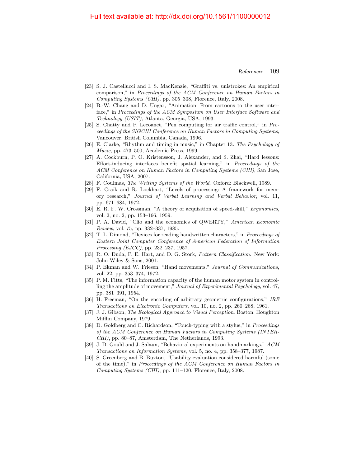- [23] S. J. Castellucci and I. S. MacKenzie, "Graffiti vs. unistrokes: An empirical comparison," in Proceedings of the ACM Conference on Human Factors in Computing Systems (CHI), pp. 305–308, Florence, Italy, 2008.
- [24] B.-W. Chang and D. Ungar, "Animation: From cartoons to the user interface," in Proceedings of the ACM Symposium on User Interface Software and Technology (USIT), Atlanta, Georgia, USA, 1993.
- <span id="page-17-0"></span>[25] S. Chatty and P. Lecoanet, "Pen computing for air traffic control," in Proceedings of the SIGCHI Conference on Human Factors in Computing Systems, Vancouver, British Columbia, Canada, 1996.
- [26] E. Clarke, "Rhythm and timing in music," in Chapter 13: The Psychology of Music, pp. 473–500, Academic Press, 1999.
- [27] A. Cockburn, P. O. Kristensson, J. Alexander, and S. Zhai, "Hard lessons: Effort-inducing interfaces benefit spatial learning," in Proceedings of the ACM Conference on Human Factors in Computing Systems (CHI), San Jose, California, USA, 2007.
- [28] F. Coulmas, The Writing Systems of the World. Oxford: Blackwell, 1989.
- [29] F. Craik and R. Lockhart, "Levels of processing: A framework for memory research," Journal of Verbal Learning and Verbal Behavior, vol. 11, pp. 671–684, 1972.
- [30] E. R. F. W. Crossman, "A theory of acquisition of speed-skill," Ergonomics, vol. 2, no. 2, pp. 153–166, 1959.
- <span id="page-17-1"></span>[31] P. A. David, "Clio and the economics of QWERTY," American Economic Review, vol. 75, pp. 332–337, 1985.
- [32] T. L. Dimond, "Devices for reading handwritten characters," in Proceedings of Eastern Joint Computer Conference of American Federation of Information Processing (EJCC), pp. 232–237, 1957.
- [33] R. O. Duda, P. E. Hart, and D. G. Stork, Pattern Classification. New York: John Wiley & Sons, 2001.
- [34] P. Ekman and W. Friesen, "Hand movements," Journal of Communications, vol. 22, pp. 353–374, 1972.
- [35] P. M. Fitts, "The information capacity of the human motor system in controlling the amplitude of movement," Journal of Experimental Psychology, vol. 47, pp. 381–391, 1954.
- [36] H. Freeman, "On the encoding of arbitrary geometric configurations," IRE Transactions on Electronic Computers, vol. 10, no. 2, pp. 260–268, 1961.
- [37] J. J. Gibson, The Ecological Approach to Visual Perception. Boston: Houghton Mifflin Company, 1979.
- [38] D. Goldberg and C. Richardson, "Touch-typing with a stylus," in *Proceedings* of the ACM Conference on Human Factors in Computing Systems (INTER-CHI), pp. 80–87, Amsterdam, The Netherlands, 1993.
- [39] J. D. Gould and J. Salaun, "Behavioral experiments on handmarkings," ACM Transactions on Information Systems, vol. 5, no. 4, pp. 358–377, 1987.
- [40] S. Greenberg and B. Buxton, "Usability evaluation considered harmful (some of the time)," in Proceedings of the ACM Conference on Human Factors in Computing Systems (CHI), pp. 111–120, Florence, Italy, 2008.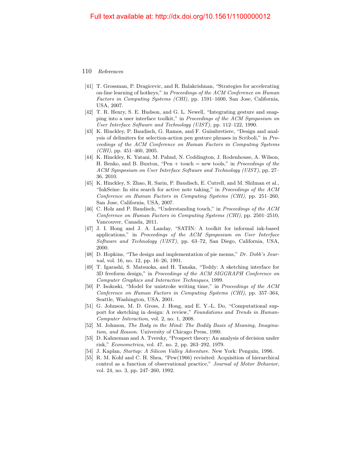- [41] T. Grossman, P. Dragicevic, and R. Balakrishnan, "Strategies for accelerating on-line learning of hotkeys," in Proceedings of the ACM Conference on Human Factors in Computing Systems (CHI), pp. 1591–1600, San Jose, California, USA, 2007.
- [42] T. R. Henry, S. E. Hudson, and G. L. Newell, "Integrating gesture and snapping into a user interface toolkit," in Proceedings of the ACM Symposium on User Interface Software and Technology (UIST), pp. 112–122, 1990.
- [43] K. Hinckley, P. Baudisch, G. Ramos, and F. Guimbretiere, "Design and analysis of delimiters for selection-action pen gesture phrases in Scriboli," in Proceedings of the ACM Conference on Human Factors in Computing Systems  $(CHI)$ , pp. 451–460, 2005.
- [44] K. Hinckley, K. Yatani, M. Pahud, N. Coddington, J. Rodenhouse, A. Wilson, H. Benko, and B. Buxton, "Pen  $+$  touch  $=$  new tools," in *Proceedings of the* ACM Symposium on User Interface Software and Technology (UIST), pp. 27– 36, 2010.
- [45] K. Hinckley, S. Zhao, R. Sarin, P. Baudisch, E. Cutrell, and M. Shilman et al., "InkSeine: In situ search for active note taking," in Proceedings of the ACM Conference on Human Factors in Computing Systems (CHI), pp. 251–260, San Jose, California, USA, 2007.
- [46] C. Holz and P. Baudisch, "Understanding touch," in Proceedings of the ACM Conference on Human Factors in Computing Systems (CHI), pp. 2501–2510, Vancouver, Canada, 2011.
- [47] J. I. Hong and J. A. Landay, "SATIN: A toolkit for informal ink-based applications," in Proceedings of the ACM Symposium on User Interface Software and Technology (UIST), pp. 63–72, San Diego, California, USA, 2000.
- [48] D. Hopkins, "The design and implementation of pie menus," Dr. Dobb's Journal, vol. 16, no. 12, pp. 16–26, 1991.
- [49] T. Igarashi, S. Matsuoka, and H. Tanaka, "Teddy: A sketching interface for 3D freeform design," in Proceedings of the ACM SIGGRAPH Conference on Computer Graphics and Interactive Techniques, 1999.
- [50] P. Isokoski, "Model for unistroke writing time," in Proceedings of the ACM Conference on Human Factors in Computing Systems (CHI), pp. 357–364, Seattle, Washington, USA, 2001.
- <span id="page-18-1"></span>[51] G. Johnson, M. D. Gross, J. Hong, and E. Y.-L. Do, "Computational support for sketching in design: A review," Foundations and Trends in Human-Computer Interaction, vol. 2, no. 1, 2008.
- [52] M. Johnson, The Body in the Mind: The Bodily Basis of Meaning, Imagination, and Reason. University of Chicago Press, 1990.
- [53] D. Kahneman and A. Tversky, "Prospect theory: An analysis of decision under risk," Econometrica, vol. 47, no. 2, pp. 263–292, 1979.
- <span id="page-18-0"></span>[54] J. Kaplan, Startup: A Silicon Valley Adventure. New York: Penguin, 1996.
- [55] R. M. Kohl and C. H. Shea, "Pew(1966) revisited: Acquisition of hierarchical control as a function of observational practice," Journal of Motor Behavior, vol. 24, no. 3, pp. 247–260, 1992.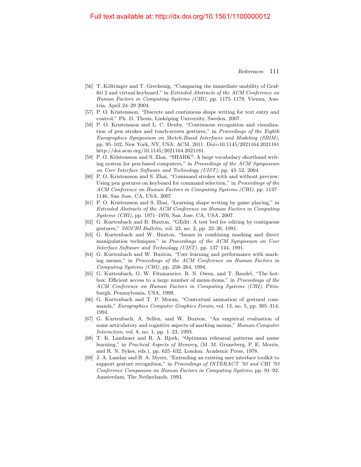- [56] T. Költringer and T. Grechenig, "Comparing the immediate usability of Graffiti 2 and virtual keyboard," in Extended Abstracts of the ACM Conference on Human Factors in Computing Systems (CHI), pp. 1175–1178, Vienna, Austria, April 24–29 2004.
- [57] P. O. Kristensson, "Discrete and continuous shape writing for text entry and control," Ph. D. Thesis, Linköping University, Sweden, 2007.
- [58] P. O. Kristensson and L. C. Denby, "Continuous recognition and visualization of pen strokes and touch-screen gestures," in Proceedings of the Eighth Eurographics Symposium on Sketch-Based Interfaces and Modeling (SBIM), pp. 95–102, New York, NY, USA: ACM, 2011. Doi=10.1145/2021164.2021181 http://doi.acm.org/10.1145/2021164.2021181.
- [59] P. O. Kristensson and S. Zhai, "SHARK<sup>2</sup>: A large vocabulary shorthand writing system for pen-based computers," in Proceedings of the ACM Symposium on User Interface Software and Technology (UIST), pp. 43–52, 2004.
- [60] P. O. Kristensson and S. Zhai, "Command strokes with and without preview: Using pen gestures on keyboard for command selection," in Proceedings of the ACM Conference on Human Factors in Computing Systems (CHI), pp. 1137– 1146, San Jose, CA, USA, 2007.
- [61] P. O. Kristensson and S. Zhai, "Learning shape writing by game playing," in Extended Abstracts of the ACM Conference on Human Factors in Computing Systems (CHI), pp. 1971–1976, San Jose, CA, USA, 2007.
- [62] G. Kurtenbach and B. Buxton, "GEdit: A test bed for editing by contiguous gestures," SIGCHI Bulletin, vol. 23, no. 2, pp. 22–26, 1991.
- [63] G. Kurtenbach and W. Buxton, "Issues in combining marking and direct manipulation techniques," in Proceedings of the ACM Symposium on User Interface Software and Technology (UIST), pp. 137–144, 1991.
- [64] G. Kurtenbach and W. Buxton, "User learning and performance with marking menus," in Proceedings of the ACM Conference on Human Factors in Computing Systems (CHI), pp. 258–264, 1994.
- [65] G. Kurtenbach, G. W. Fitzmaurice, R. N. Owen, and T. Baudel, "The hotbox: Efficient access to a large number of menu-items," in Proceedings of the ACM Conference on Human Factors in Computing Systems (CHI), Pittsburgh, Pennsylvania, USA, 1999.
- [66] G. Kurtenbach and T. P. Moran, "Contextual animation of gestural commands," Eurographics Computer Graphics Forum, vol. 13, no. 5, pp. 305–314, 1994.
- [67] G. Kurtenbach, A. Sellen, and W. Buxton, "An empirical evaluation of some articulatory and cognitive aspects of marking menus," Human-Computer Interaction, vol. 8, no. 1, pp. 1–23, 1993.
- [68] T. K. Landauer and R. A. Bjork, "Optimum rehearsal patterns and name learning," in Practical Aspects of Memory, (M. M. Gruneberg, P. E. Morris, and R. N. Sykes, eds.), pp. 625–632, London: Academic Press, 1978.
- [69] J. A. Landay and B. A. Myers, "Extending an existing user interface toolkit to support gesture recognition," in Proceedings of INTERACT '93 and CHI '93 Conference Companion on Human Factors in Computing Systems, pp. 91–92, Amsterdam, The Netherlands, 1993.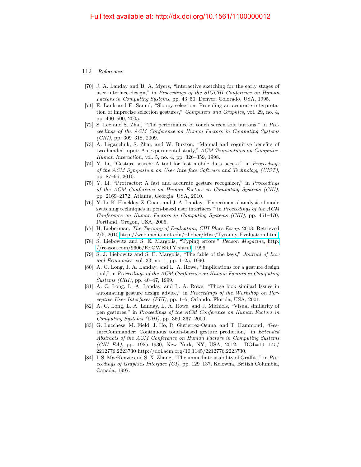- [70] J. A. Landay and B. A. Myers, "Interactive sketching for the early stages of user interface design," in Proceedings of the SIGCHI Conference on Human Factors in Computing Systems, pp. 43–50, Denver, Colorado, USA, 1995.
- [71] E. Lank and E. Saund, "Sloppy selection: Providing an accurate interpretation of imprecise selection gestures," Computers and Graphics, vol. 29, no. 4, pp. 490–500, 2005.
- [72] S. Lee and S. Zhai, "The performance of touch screen soft buttons," in Proceedings of the ACM Conference on Human Factors in Computing Systems  $(CHI)$ , pp. 309–318, 2009.
- [73] A. Leganchuk, S. Zhai, and W. Buxton, "Manual and cognitive benefits of two-handed input: An experimental study," ACM Transactions on Computer-Human Interaction, vol. 5, no. 4, pp. 326–359, 1998.
- [74] Y. Li, "Gesture search: A tool for fast mobile data access," in Proceedings of the ACM Symposium on User Interface Software and Technology (UIST), pp. 87–96, 2010.
- [75] Y. Li, "Protractor: A fast and accurate gesture recognizer," in Proceedings of the ACM Conference on Human Factors in Computing Systems (CHI), pp. 2169–2172, Atlanta, Georgia, USA, 2010.
- [76] Y. Li, K. Hinckley, Z. Guan, and J. A. Landay, "Experimental analysis of mode switching techniques in pen-based user interfaces," in Proceedings of the ACM Conference on Human Factors in Computing Systems (CHI), pp. 461–470, Portland, Oregon, USA, 2005.
- [77] H. Lieberman, The Tyranny of Evaluation, CHI Place Essay. 2003. Retrieved 2/5, 2010 http://web.media.mit.edu/∼[lieber/Misc/Tyranny-Evaluation.html.](http://web.media.mit.edu/~lieber/Misc/Tyranny-Evaluation.html)
- [78] S. Liebowitz and S. E. Margolis, "Typing errors," Reason Magazine, [http:](http://reason.com/9606/Fe.QWERTY.shtml) [//reason.com/9606/Fe.QWERTY.shtml,](http://reason.com/9606/Fe.QWERTY.shtml) 1996.
- <span id="page-20-0"></span>[79] S. J. Liebowitz and S. E. Margolis, "The fable of the keys," Journal of Law and Economics, vol. 33, no. 1, pp. 1–25, 1990.
- [80] A. C. Long, J. A. Landay, and L. A. Rowe, "Implications for a gesture design tool," in Proceedings of the ACM Conference on Human Factors in Computing Systems (CHI), pp. 40–47, 1999.
- [81] A. C. Long, L. A. Landay, and L. A. Rowe, "Those look similar! Issues in automating gesture design advice," in Proceedings of the Workshop on Perceptive User Interfaces (PUI), pp. 1–5, Orlando, Florida, USA, 2001.
- [82] A. C. Long, L. A. Landay, L. A. Rowe, and J. Michiels, "Visual similarity of pen gestures," in Proceedings of the ACM Conference on Human Factors in Computing Systems (CHI), pp. 360–367, 2000.
- [83] G. Lucchese, M. Field, J. Ho, R. Gutierrez-Osuna, and T. Hammond, "GestureCommander: Continuous touch-based gesture prediction," in Extended Abstracts of the ACM Conference on Human Factors in Computing Systems (CHI EA), pp. 1925–1930, New York, NY, USA, 2012. DOI=10.1145/ 2212776.2223730 http://doi.acm.org/10.1145/2212776.2223730.
- [84] I. S. MacKenzie and S. X. Zhang, "The immediate usability of Graffiti," in Proceedings of Graphics Interface (GI), pp. 129–137, Kelowna, British Columbia, Canada, 1997.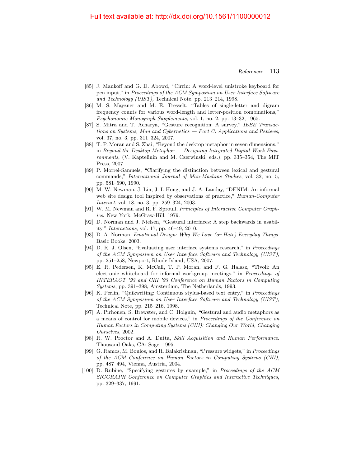- [85] J. Mankoff and G. D. Abowd, "Cirrin: A word-level unistroke keyboard for pen input," in Proceedings of the ACM Symposium on User Interface Software and Technology (UIST), Technical Note, pp. 213–214, 1998.
- [86] M. S. Mayzner and M. E. Tresselt, "Tables of single-letter and digram frequency counts for various word-length and letter-position combinations," Psychonomic Monograph Supplements, vol. 1, no. 2, pp. 13–32, 1965.
- [87] S. Mitra and T. Acharya, "Gesture recognition: A survey," IEEE Transactions on Systems, Man and Cybernetics — Part C: Applications and Reviews, vol. 37, no. 3, pp. 311–324, 2007.
- [88] T. P. Moran and S. Zhai, "Beyond the desktop metaphor in seven dimensions," in Beyond the Desktop Metaphor  $-$  Designing Integrated Digital Work Environments, (V. Kaptelinin and M. Czerwinski, eds.), pp. 335–354, The MIT Press, 2007.
- [89] P. Morrel-Samuels, "Clarifying the distinction between lexical and gestural commands," International Journal of Man-Machine Studies, vol. 32, no. 5, pp. 581–590, 1990.
- [90] M. W. Newman, J. Lin, J. I. Hong, and J. A. Landay, "DENIM: An informal web site design tool inspired by observations of practice," Human-Computer Interact, vol. 18, no. 3, pp. 259–324, 2003.
- <span id="page-21-0"></span>[91] W. M. Newman and R. F. Sproull, Principles of Interactive Computer Graphics. New York: McGraw-Hill, 1979.
- <span id="page-21-2"></span>[92] D. Norman and J. Nielsen, "Gestural interfaces: A step backwards in usability," Interactions, vol. 17, pp. 46–49, 2010.
- [93] D. A. Norman, Emotional Design: Why We Love (or Hate) Everyday Things. Basic Books, 2003.
- [94] D. R. J. Olsen, "Evaluating user interface systems research," in Proceedings of the ACM Symposium on User Interface Software and Technology (UIST), pp. 251–258, Newport, Rhode Island, USA, 2007.
- <span id="page-21-1"></span>[95] E. R. Pedersen, K. McCall, T. P. Moran, and F. G. Halasz, "Tivoli: An electronic whiteboard for informal workgroup meetings," in Proceedings of INTERACT '93 and CHI '93 Conference on Human Factors in Computing Systems, pp. 391–398, Amsterdam, The Netherlands, 1993.
- [96] K. Perlin, "Quikwriting: Continuous stylus-based text entry," in Proceedings of the ACM Symposium on User Interface Software and Technology (UIST), Technical Note, pp. 215–216, 1998.
- [97] A. Pirhonen, S. Brewster, and C. Holguin, "Gestural and audio metaphors as a means of control for mobile devices," in Proceedings of the Conference on Human Factors in Computing Systems (CHI): Changing Our World, Changing Ourselves, 2002.
- [98] R. W. Proctor and A. Dutta, Skill Acquisition and Human Performance. Thousand Oaks, CA: Sage, 1995.
- [99] G. Ramos, M. Boulos, and R. Balakrishnan, "Pressure widgets," in Proceedings of the ACM Conference on Human Factors in Computing Systems (CHI), pp. 487–494, Vienna, Austria, 2004.
- [100] D. Rubine, "Specifying gestures by example," in Proceedings of the ACM SIGGRAPH Conference on Computer Graphics and Interactive Techniques, pp. 329–337, 1991.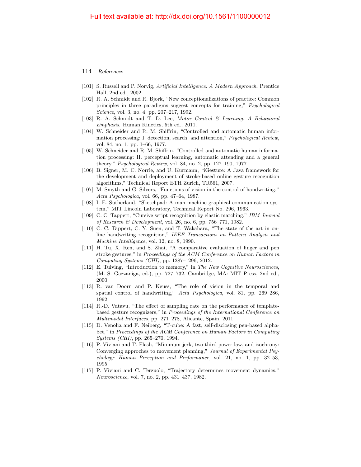- [101] S. Russell and P. Norvig, Artificial Intelligence: A Modern Approach. Prentice Hall, 2nd ed., 2002.
- [102] R. A. Schmidt and R. Bjork, "New conceptionalizations of practice: Common principles in three paradigms suggest concepts for training," Psychological Science, vol. 3, no. 4, pp. 207–217, 1992.
- [103] R. A. Schmidt and T. D. Lee, Motor Control & Learning: A Behavioral Emphasis. Human Kinetics, 5th ed., 2011.
- [104] W. Schneider and R. M. Shiffrin, "Controlled and automatic human information processing: I. detection, search, and attention," Psychological Review, vol. 84, no. 1, pp. 1–66, 1977.
- [105] W. Schneider and R. M. Shiffrin, "Controlled and automatic human information processing: II. perceptual learning, automatic attending and a general theory," Psychological Review, vol. 84, no. 2, pp. 127–190, 1977.
- [106] B. Signer, M. C. Norrie, and U. Kurmann, "iGesture: A Java framework for the development and deployment of stroke-based online gesture recognition algorithms," Technical Report ETH Zurich, TR561, 2007.
- [107] M. Smyth and G. Silvers, "Functions of vision in the control of handwriting," Acta Psychologica, vol. 66, pp. 47–64, 1987.
- <span id="page-22-0"></span>[108] I. E. Sutherland, "Sketchpad: A man-machine graphical communication system," MIT Lincoln Laboratory, Technical Report No. 296, 1963.
- [109] C. C. Tappert, "Cursive script recognition by elastic matching," IBM Journal of Research & Development, vol. 26, no. 6, pp. 756–771, 1982.
- [110] C. C. Tappert, C. Y. Suen, and T. Wakahara, "The state of the art in online handwriting recognition," IEEE Transactions on Pattern Analysis and Machine Intelligence, vol. 12, no. 8, 1990.
- [111] H. Tu, X. Ren, and S. Zhai, "A comparative evaluation of finger and pen stroke gestures," in Proceedings of the ACM Conference on Human Factors in Computing Systems (CHI), pp. 1287–1296, 2012.
- [112] E. Tulving, "Introduction to memory," in The New Cognitive Neurosciences, (M. S. Gazzaniga, ed.), pp. 727–732, Cambridge, MA: MIT Press, 2nd ed., 2000.
- [113] R. van Doorn and P. Keuss, "The role of vision in the temporal and spatial control of handwriting," Acta Psychologica, vol. 81, pp. 269–286, 1992.
- [114] R.-D. Vatavu, "The effect of sampling rate on the performance of templatebased gesture recognizers," in Proceedings of the International Conference on Multimodal Interfaces, pp. 271–278, Alicante, Spain, 2011.
- [115] D. Venolia and F. Neiberg, "T-cube: A fast, self-disclosing pen-based alphabet," in Proceedings of the ACM Conference on Human Factors in Computing Systems (CHI), pp. 265–270, 1994.
- [116] P. Viviani and T. Flash, "Minimum-jerk, two-third power law, and isochrony: Converging approches to movement planning," Journal of Experimental Psychology: Human Perception and Performance, vol. 21, no. 1, pp. 32–53, 1995.
- [117] P. Viviani and C. Terzuolo, "Trajectory determines movement dynamics," Neuroscience, vol. 7, no. 2, pp. 431–437, 1982.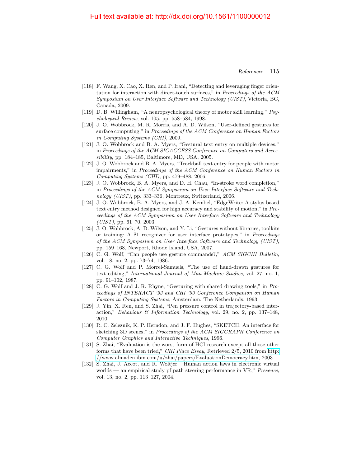- [118] F. Wang, X. Cao, X. Ren, and P. Irani, "Detecting and leveraging finger orientation for interaction with direct-touch surfaces," in Proceedings of the ACM Symposium on User Interface Software and Technology (UIST), Victoria, BC, Canada, 2009.
- [119] D. B. Willingham, "A neuropsychological theory of motor skill learning," Psychological Review, vol. 105, pp. 558–584, 1998.
- [120] J. O. Wobbrock, M. R. Morris, and A. D. Wilson, "User-defined gestures for surface computing," in Proceedings of the ACM Conference on Human Factors in Computing Systems (CHI), 2009.
- [121] J. O. Wobbrock and B. A. Myers, "Gestural text entry on multiple devices," in Proceedings of the ACM SIGACCESS Conference on Computers and Acces $sibility$ , pp. 184–185, Baltimore, MD, USA, 2005.
- [122] J. O. Wobbrock and B. A. Myers, "Trackball text entry for people with motor impairments," in Proceedings of the ACM Conference on Human Factors in Computing Systems (CHI), pp. 479–488, 2006.
- [123] J. O. Wobbrock, B. A. Myers, and D. H. Chau, "In-stroke word completion," in Proceedings of the ACM Symposium on User Interface Software and Technology (UIST), pp. 333–336, Montreux, Switzerland, 2006.
- [124] J. O. Wobbrock, B. A. Myers, and J. A. Kembel, "EdgeWrite: A stylus-based text entry method designed for high accuracy and stability of motion," in Proceedings of the ACM Symposium on User Interface Software and Technology  $(UIST)$ , pp. 61–70, 2003.
- [125] J. O. Wobbrock, A. D. Wilson, and Y. Li, "Gestures without libraries, toolkits or training: A \$1 recognizer for user interface prototypes," in Proceedings of the ACM Symposium on User Interface Software and Technology (UIST), pp. 159–168, Newport, Rhode Island, USA, 2007.
- [126] C. G. Wolf, "Can people use gesture commands?," ACM SIGCHI Bulletin, vol. 18, no. 2, pp. 73–74, 1986.
- [127] C. G. Wolf and P. Morrel-Samuels, "The use of hand-drawn gestures for text editing," International Journal of Man-Machine Studies, vol. 27, no. 1, pp. 91–102, 1987.
- <span id="page-23-0"></span>[128] C. G. Wolf and J. R. Rhyne, "Gesturing with shared drawing tools," in Proceedings of INTERACT '93 and CHI '93 Conference Companion on Human Factors in Computing Systems, Amsterdam, The Netherlands, 1993.
- [129] J. Yin, X. Ren, and S. Zhai, "Pen pressure control in trajectory-based interaction," Behaviour & Information Technology, vol. 29, no. 2, pp. 137–148, 2010.
- [130] R. C. Zeleznik, K. P. Herndon, and J. F. Hughes, "SKETCH: An interface for sketching 3D scenes," in Proceedings of the ACM SIGGRAPH Conference on Computer Graphics and Interactive Techniques, 1996.
- [131] S. Zhai, "Evaluation is the worst form of HCI research except all those other forms that have been tried," CHI Place Essay, Retrieved 2/5, 2010 from [http:](http://www.almaden.ibm.com/u/zhai/papers/EvaluationDemocracy.htm) [//www.almaden.ibm.com/u/zhai/papers/EvaluationDemocracy.htm,](http://www.almaden.ibm.com/u/zhai/papers/EvaluationDemocracy.htm) 2003.
- [132] S. Zhai, J. Accot, and R. Woltjer, "Human action laws in electronic virtual worlds — an empirical study pf path steering performance in VR," Presence, vol. 13, no. 2, pp. 113–127, 2004.